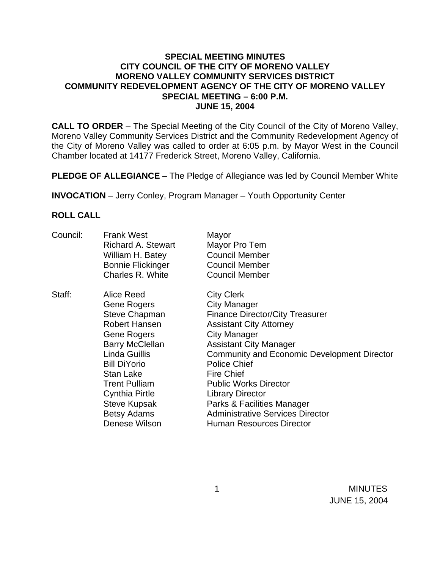## **SPECIAL MEETING MINUTES CITY COUNCIL OF THE CITY OF MORENO VALLEY MORENO VALLEY COMMUNITY SERVICES DISTRICT COMMUNITY REDEVELOPMENT AGENCY OF THE CITY OF MORENO VALLEY SPECIAL MEETING – 6:00 P.M. JUNE 15, 2004**

**CALL TO ORDER** – The Special Meeting of the City Council of the City of Moreno Valley, Moreno Valley Community Services District and the Community Redevelopment Agency of the City of Moreno Valley was called to order at 6:05 p.m. by Mayor West in the Council Chamber located at 14177 Frederick Street, Moreno Valley, California.

**PLEDGE OF ALLEGIANCE** – The Pledge of Allegiance was led by Council Member White

**INVOCATION** – Jerry Conley, Program Manager – Youth Opportunity Center

## **ROLL CALL**

| Council: | <b>Frank West</b><br><b>Richard A. Stewart</b><br>William H. Batey<br><b>Bonnie Flickinger</b><br>Charles R. White                                                                                                                                                | Mayor<br>Mayor Pro Tem<br><b>Council Member</b><br><b>Council Member</b><br><b>Council Member</b>                                                                                                                                                                                                                                                                                                                                                     |
|----------|-------------------------------------------------------------------------------------------------------------------------------------------------------------------------------------------------------------------------------------------------------------------|-------------------------------------------------------------------------------------------------------------------------------------------------------------------------------------------------------------------------------------------------------------------------------------------------------------------------------------------------------------------------------------------------------------------------------------------------------|
| Staff:   | Alice Reed<br>Gene Rogers<br>Steve Chapman<br>Robert Hansen<br>Gene Rogers<br><b>Barry McClellan</b><br>Linda Guillis<br><b>Bill DiYorio</b><br>Stan Lake<br><b>Trent Pulliam</b><br>Cynthia Pirtle<br><b>Steve Kupsak</b><br><b>Betsy Adams</b><br>Denese Wilson | <b>City Clerk</b><br><b>City Manager</b><br><b>Finance Director/City Treasurer</b><br><b>Assistant City Attorney</b><br><b>City Manager</b><br><b>Assistant City Manager</b><br><b>Community and Economic Development Director</b><br><b>Police Chief</b><br><b>Fire Chief</b><br><b>Public Works Director</b><br><b>Library Director</b><br>Parks & Facilities Manager<br><b>Administrative Services Director</b><br><b>Human Resources Director</b> |